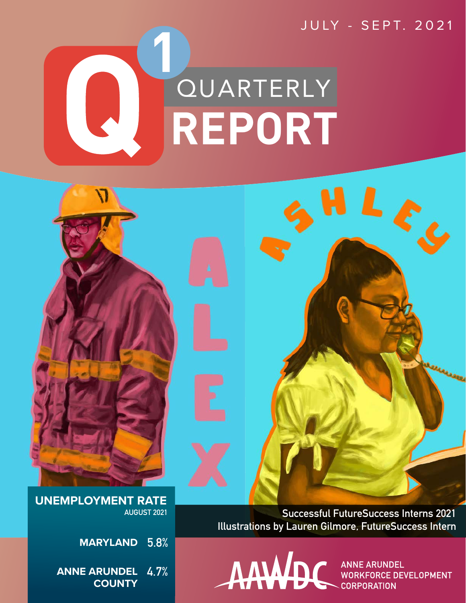

 $\blacklozenge$ 



ANNE ARUNDEL **WORKFORCE DEVELOPMENT CORPORATION** 

 $LL_{c_d}$ 

**UNEMPLOYMENT RATE AUGUST 2021**

> **5.8% MARYLAND**

**ANNE ARUNDEL 4.7% COUNTY**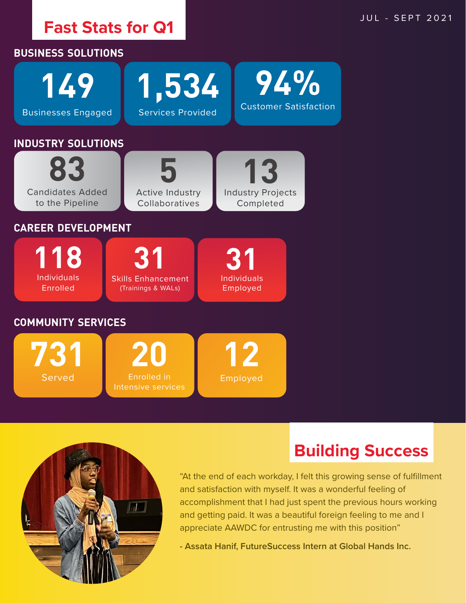



**Building Success**

"At the end of each workday, I felt this growing sense of fulfillment and satisfaction with myself. It was a wonderful feeling of accomplishment that I had just spent the previous hours working and getting paid. It was a beautiful foreign feeling to me and I appreciate AAWDC for entrusting me with this position"

**- Assata Hanif, FutureSuccess Intern at Global Hands Inc.**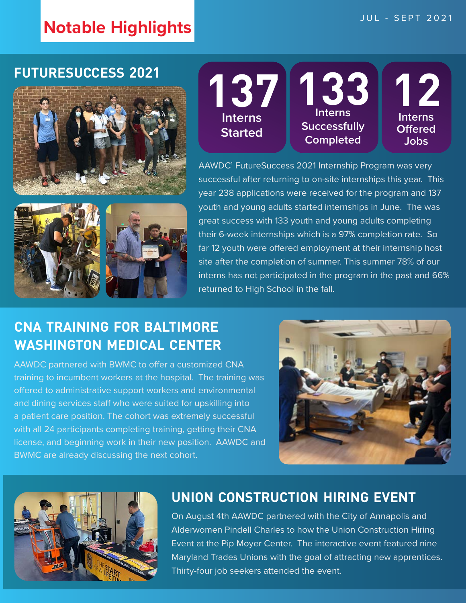# **Notable Highlights JUL - SEPT 2021**

#### **futuresuccess 2021**



**137 Interns Started 133 Interns Successfully Completed 12 Interns Offered Jobs**

AAWDC' FutureSuccess 2021 Internship Program was very successful after returning to on-site internships this year. This year 238 applications were received for the program and 137 youth and young adults started internships in June. The was great success with 133 youth and young adults completing their 6-week internships which is a 97% completion rate. So far 12 youth were offered employment at their internship host site after the completion of summer. This summer 78% of our interns has not participated in the program in the past and 66% returned to High School in the fall.

# **cna training for baltimore washington medical center**

AAWDC partnered with BWMC to offer a customized CNA training to incumbent workers at the hospital. The training was offered to administrative support workers and environmental and dining services staff who were suited for upskilling into a patient care position. The cohort was extremely successful with all 24 participants completing training, getting their CNA license, and beginning work in their new position. AAWDC and BWMC are already discussing the next cohort.





#### **union construction hiring event**

On August 4th AAWDC partnered with the City of Annapolis and Alderwomen Pindell Charles to how the Union Construction Hiring Event at the Pip Moyer Center. The interactive event featured nine Maryland Trades Unions with the goal of attracting new apprentices. Thirty-four job seekers attended the event.